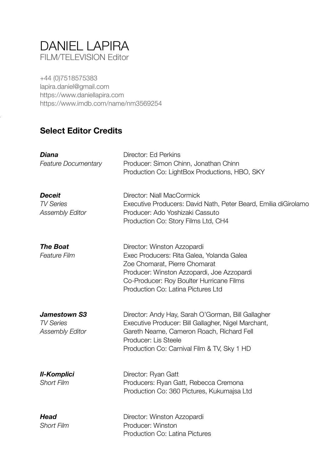# DANIEL LAPIRA FILM/TELEVISION Editor

+44 (0)7518575383 [lapira.daniel@gmail.com](mailto:lapira.daniel@gmail.com) <https://www.daniellapira.com> <https://www.imdb.com/name/nm3569254>

### **Select Editor Credits**

| Diana<br><b>Feature Documentary</b>                               | Director: Ed Perkins<br>Producer: Simon Chinn, Jonathan Chinn<br>Production Co: LightBox Productions, HBO, SKY                                                                                                                            |
|-------------------------------------------------------------------|-------------------------------------------------------------------------------------------------------------------------------------------------------------------------------------------------------------------------------------------|
| <b>Deceit</b><br><b>TV Series</b><br><b>Assembly Editor</b>       | Director: Niall MacCormick<br>Executive Producers: David Nath, Peter Beard, Emilia diGirolamo<br>Producer: Ado Yoshizaki Cassuto<br>Production Co: Story Films Ltd, CH4                                                                   |
| <b>The Boat</b><br><b>Feature Film</b>                            | Director: Winston Azzopardi<br>Exec Producers: Rita Galea, Yolanda Galea<br>Zoe Chomarat, Pierre Chomarat<br>Producer: Winston Azzopardi, Joe Azzopardi<br>Co-Producer: Roy Boulter Hurricane Films<br>Production Co: Latina Pictures Ltd |
| <b>Jamestown S3</b><br><b>TV Series</b><br><b>Assembly Editor</b> | Director: Andy Hay, Sarah O'Gorman, Bill Gallagher<br>Executive Producer: Bill Gallagher, Nigel Marchant,<br>Gareth Neame, Cameron Roach, Richard Fell<br>Producer: Lis Steele<br>Production Co: Carnival Film & TV, Sky 1 HD             |
| <b>II-Komplici</b><br><b>Short Film</b>                           | Director: Ryan Gatt<br>Producers: Ryan Gatt, Rebecca Cremona<br>Production Co: 360 Pictures, Kukumajsa Ltd                                                                                                                                |
| <b>Head</b><br><b>Short Film</b>                                  | Director: Winston Azzopardi<br>Producer: Winston<br>Production Co: Latina Pictures                                                                                                                                                        |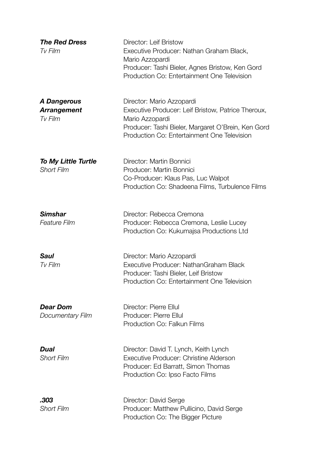| <b>The Red Dress</b><br>Tv Film                     | Director: Leif Bristow<br>Executive Producer: Nathan Graham Black,<br>Mario Azzopardi<br>Producer: Tashi Bieler, Agnes Bristow, Ken Gord<br>Production Co: Entertainment One Television                 |
|-----------------------------------------------------|---------------------------------------------------------------------------------------------------------------------------------------------------------------------------------------------------------|
| <b>A Dangerous</b><br><b>Arrangement</b><br>Tv Film | Director: Mario Azzopardi<br>Executive Producer: Leif Bristow, Patrice Theroux,<br>Mario Azzopardi<br>Producer: Tashi Bieler, Margaret O'Brein, Ken Gord<br>Production Co: Entertainment One Television |
| <b>To My Little Turtle</b><br><b>Short Film</b>     | Director: Martin Bonnici<br>Producer: Martin Bonnici<br>Co-Producer: Klaus Pas, Luc Walpot<br>Production Co: Shadeena Films, Turbulence Films                                                           |
| <b>Simshar</b><br><b>Feature Film</b>               | Director: Rebecca Cremona<br>Producer: Rebecca Cremona, Leslie Lucey<br>Production Co: Kukumajsa Productions Ltd                                                                                        |
| <b>Saul</b><br>Tv Film                              | Director: Mario Azzopardi<br>Executive Producer: NathanGraham Black<br>Producer: Tashi Bieler, Leif Bristow<br>Production Co: Entertainment One Television                                              |
| <b>Dear Dom</b><br>Documentary Film                 | Director: Pierre Ellul<br>Producer: Pierre Ellul<br>Production Co: Falkun Films                                                                                                                         |
| Dual<br><b>Short Film</b>                           | Director: David T. Lynch, Keith Lynch<br>Executive Producer: Christine Alderson<br>Producer: Ed Barratt, Simon Thomas<br>Production Co: Ipso Facto Films                                                |
| .303<br><b>Short Film</b>                           | Director: David Serge<br>Producer: Matthew Pullicino, David Serge<br>Production Co: The Bigger Picture                                                                                                  |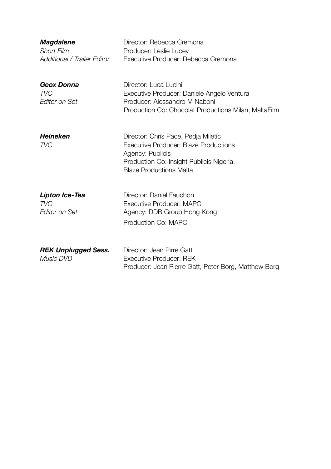| <b>Magdalene</b><br><b>Short Film</b><br><b>Additional / Trailer Editor</b> | Director: Rebecca Cremona<br>Producer: Leslie Lucey<br>Executive Producer: Rebecca Cremona                                                                                     |
|-----------------------------------------------------------------------------|--------------------------------------------------------------------------------------------------------------------------------------------------------------------------------|
| <b>Geox Donna</b><br><b>TVC</b><br><b>Editor on Set</b>                     | Director: Luca Lucini<br>Executive Producer: Daniele Angelo Ventura<br>Producer: Alessandro M Naboni<br>Production Co: Chocolat Productions Milan, MaltaFilm                   |
| <b>Heineken</b><br><b>TVC</b>                                               | Director: Chris Pace, Pedja Miletic<br>Executive Producer: Blaze Productions<br>Agency: Publicis<br>Production Co: Insight Publicis Nigeria,<br><b>Blaze Productions Malta</b> |
| <b>Lipton Ice-Tea</b><br><b>TVC</b><br>Editor on Set                        | Director: Daniel Fauchon<br>Executive Producer: MAPC<br>Agency: DDB Group Hong Kong<br>Production Co: MAPC                                                                     |
| <b>REK Unplugged Sess.</b><br>Music DVD                                     | Director: Jean Pirre Gatt<br><b>Executive Producer: REK</b><br>Producer: Jean Pierre Gatt, Peter Borg, Matthew Borg                                                            |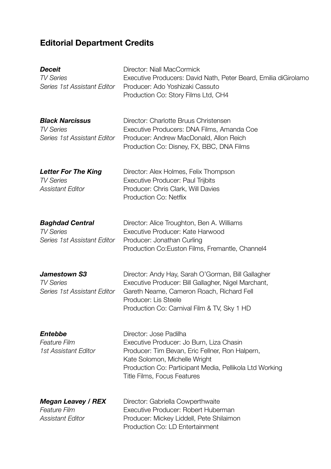# **Editorial Department Credits**

| <b>Deceit</b><br><b>TV Series</b><br>Series 1st Assistant Editor            | Director: Niall MacCormick<br>Executive Producers: David Nath, Peter Beard, Emilia diGirolamo<br>Producer: Ado Yoshizaki Cassuto<br>Production Co: Story Films Ltd, CH4                                                                                 |
|-----------------------------------------------------------------------------|---------------------------------------------------------------------------------------------------------------------------------------------------------------------------------------------------------------------------------------------------------|
| <b>Black Narcissus</b><br><b>TV Series</b><br>Series 1st Assistant Editor   | Director: Charlotte Bruus Christensen<br>Executive Producers: DNA Films, Amanda Coe<br>Producer: Andrew MacDonald, Allon Reich<br>Production Co: Disney, FX, BBC, DNA Films                                                                             |
| <b>Letter For The King</b><br><b>TV Series</b><br><b>Assistant Editor</b>   | Director: Alex Holmes, Felix Thompson<br><b>Executive Producer: Paul Trijbits</b><br>Producer: Chris Clark, Will Davies<br>Production Co: Netflix                                                                                                       |
| <b>Baghdad Central</b><br><b>TV Series</b><br>Series 1st Assistant Editor   | Director: Alice Troughton, Ben A. Williams<br>Executive Producer: Kate Harwood<br>Producer: Jonathan Curling<br>Production Co: Euston Films, Fremantle, Channel4                                                                                        |
| <b>Jamestown S3</b><br><b>TV Series</b><br>Series 1st Assistant Editor      | Director: Andy Hay, Sarah O'Gorman, Bill Gallagher<br>Executive Producer: Bill Gallagher, Nigel Marchant,<br>Gareth Neame, Cameron Roach, Richard Fell<br>Producer: Lis Steele<br>Production Co: Carnival Film & TV, Sky 1 HD                           |
| <b>Entebbe</b><br><b>Feature Film</b><br>1st Assistant Editor               | Director: Jose Padilha<br>Executive Producer: Jo Burn, Liza Chasin<br>Producer: Tim Bevan, Eric Fellner, Ron Halpern,<br>Kate Solomon, Michelle Wright<br>Production Co: Participant Media, Pellikola Ltd Working<br><b>Title Films, Focus Features</b> |
| <b>Megan Leavey / REX</b><br><b>Feature Film</b><br><b>Assistant Editor</b> | Director: Gabriella Cowperthwaite<br>Executive Producer: Robert Huberman<br>Producer: Mickey Liddell, Pete Shilaimon<br>Production Co: LD Entertainment                                                                                                 |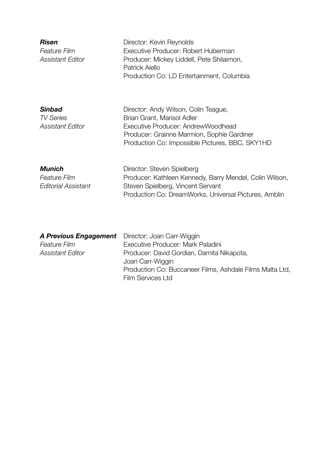| <b>Risen</b><br><b>Feature Film</b><br><b>Assistant Editor</b> | Director: Kevin Reynolds<br>Executive Producer: Robert Huberman<br>Producer: Mickey Liddell, Pete Shilaimon,<br>Patrick Aiello<br>Production Co: LD Entertainment, Columbia                               |
|----------------------------------------------------------------|-----------------------------------------------------------------------------------------------------------------------------------------------------------------------------------------------------------|
| <b>Sinbad</b><br><b>TV Series</b><br>Assistant Editor          | Director: Andy Wilson, Colin Teague,<br>Brian Grant, Marisol Adler<br>Executive Producer: AndrewWoodhead<br>Producer: Grainne Marmion, Sophie Gardiner<br>Production Co: Impossible Pictures, BBC, SKY1HD |
| <b>Munich</b><br><b>Feature Film</b><br>Editorial Assistant    | Director: Steven Spielberg<br>Producer: Kathleen Kennedy, Barry Mendel, Colin Wilson,<br>Steven Spielberg, Vincent Servant<br>Production Co: DreamWorks, Universal Pictures, Amblin                       |

| <b>A Previous Engagement</b> Director: Joan Carr-Wiggin |                                                          |
|---------------------------------------------------------|----------------------------------------------------------|
| <b>Feature Film</b>                                     | Executive Producer: Mark Paladini                        |
| <b>Assistant Editor</b>                                 | Producer: David Gordian, Damita Nikapota,                |
|                                                         | Joan Carr-Wiggin                                         |
|                                                         | Production Co: Buccaneer Films, Ashdale Films Malta Ltd, |
|                                                         | <b>Film Services Ltd</b>                                 |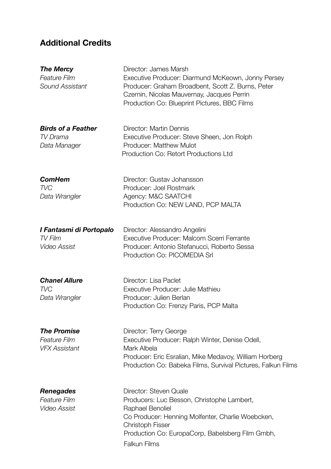## **Additional Credits**

| <b>The Mercy</b><br><b>Feature Film</b><br>Sound Assistant        | Director: James Marsh<br>Executive Producer: Diarmund McKeown, Jonny Persey<br>Producer: Graham Broadbent, Scott Z. Burns, Peter<br>Czernin, Nicolas Mauvernay, Jacques Perrin<br>Production Co: Blueprint Pictures, BBC Films                      |
|-------------------------------------------------------------------|-----------------------------------------------------------------------------------------------------------------------------------------------------------------------------------------------------------------------------------------------------|
| <b>Birds of a Feather</b><br>TV Drama<br>Data Manager             | Director: Martin Dennis<br>Executive Producer: Steve Sheen, Jon Rolph<br>Producer: Matthew Mulot<br>Production Co: Retort Productions Ltd                                                                                                           |
| <b>ComHem</b><br>TVC<br>Data Wrangler                             | Director: Gustav Johansson<br>Producer: Joel Rostmark<br>Agency: M&C SAATCHI<br>Production Co: NEW LAND, PCP MALTA                                                                                                                                  |
| I Fantasmi di Portopalo<br>TV Film<br><b>Video Assist</b>         | Director: Alessandro Angelini<br>Executive Producer: Malcom Scerri Ferrante<br>Producer: Antonio Stefanucci, Roberto Sessa<br>Production Co: PICOMEDIA Srl                                                                                          |
| <b>Chanel Allure</b><br><b>TVC</b><br>Data Wrangler               | Director: Lisa Paclet<br>Executive Producer: Julie Mathieu<br>Producer: Julien Berlan<br>Production Co: Frenzy Paris, PCP Malta                                                                                                                     |
| <b>The Promise</b><br><b>Feature Film</b><br><b>VFX Assistant</b> | Director: Terry George<br>Executive Producer: Ralph Winter, Denise Odell,<br>Mark Albela<br>Producer: Eric Esralian, Mike Medavoy, William Horberg<br>Production Co: Babeka Films, Survival Pictures, Falkun Films                                  |
| <b>Renegades</b><br><b>Feature Film</b><br><b>Video Assist</b>    | Director: Steven Quale<br>Producers: Luc Besson, Christophe Lambert,<br>Raphael Benoliel<br>Co Producer: Henning Molfenter, Charlie Woebcken,<br><b>Christoph Fisser</b><br>Production Co: EuropaCorp, Babelsberg Film Gmbh,<br><b>Falkun Films</b> |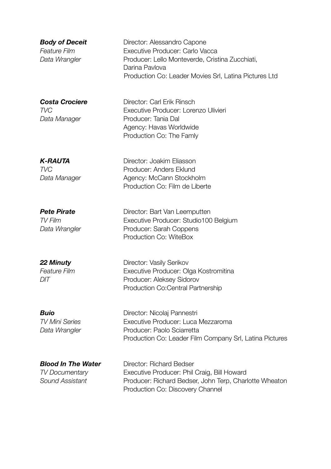**22 Minuty** Director: Vasily Serikov *Feature Film* Executive Producer: Olga Kostromitina *DIT* Producer: Aleksey Sidorov Production Co:Central Partnership

**Buio** Director: Nicolaj Pannestri *TV Mini Series* Executive Producer: Luca Mezzaroma **Data Wrangler** Producer: Paolo Sciarretta Production Co: Leader Film Company Srl, Latina Pictures

**Blood In The Water Director: Richard Bedser** *TV Documentary* Executive Producer: Phil Craig, Bill Howard *Sound Assistant* Producer: Richard Bedser, John Terp, Charlotte Wheaton Production Co: Discovery Channel

**Body of Deceit** Director: Alessandro Capone *Feature Film* Executive Producer: Carlo Vacca Data Wrangler **Producer: Lello Monteverde, Cristina Zucchiati**, Darina Pavlova Production Co: Leader Movies Srl, Latina Pictures Ltd

*Costa Crociere* Director: Carl Erik Rinsch *TVC* Executive Producer: Lorenzo Ulivieri *Data Manager* Producer: Tania Dal Agency: Havas Worldwide Production Co: The Famly

**K-RAUTA** Director: Joakim Eliasson **TVC** Producer: Anders Eklund **Data Manager Agency: McCann Stockholm** Production Co: Film de Liberte

**Pete Pirate Director: Bart Van Leemputten** *TV Film* Executive Producer: Studio100 Belgium **Data Wrangler** Producer: Sarah Coppens Production Co: WiteBox